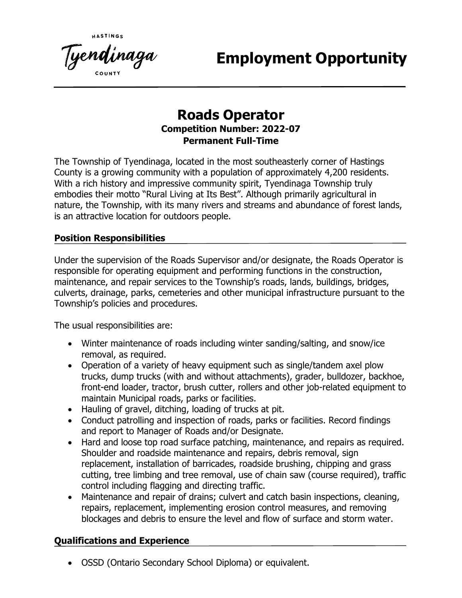Tyendinaga

**Employment Opportunity**

# **Roads Operator Competition Number: 2022-07 Permanent Full-Time**

The Township of Tyendinaga, located in the most southeasterly corner of Hastings County is a growing community with a population of approximately 4,200 residents. With a rich history and impressive community spirit, Tyendinaga Township truly embodies their motto "Rural Living at Its Best". Although primarily agricultural in nature, the Township, with its many rivers and streams and abundance of forest lands, is an attractive location for outdoors people.

### **Position Responsibilities**

Under the supervision of the Roads Supervisor and/or designate, the Roads Operator is responsible for operating equipment and performing functions in the construction, maintenance, and repair services to the Township's roads, lands, buildings, bridges, culverts, drainage, parks, cemeteries and other municipal infrastructure pursuant to the Township's policies and procedures.

The usual responsibilities are:

- Winter maintenance of roads including winter sanding/salting, and snow/ice removal, as required.
- Operation of a variety of heavy equipment such as single/tandem axel plow trucks, dump trucks (with and without attachments), grader, bulldozer, backhoe, front-end loader, tractor, brush cutter, rollers and other job-related equipment to maintain Municipal roads, parks or facilities.
- Hauling of gravel, ditching, loading of trucks at pit.
- Conduct patrolling and inspection of roads, parks or facilities. Record findings and report to Manager of Roads and/or Designate.
- Hard and loose top road surface patching, maintenance, and repairs as required. Shoulder and roadside maintenance and repairs, debris removal, sign replacement, installation of barricades, roadside brushing, chipping and grass cutting, tree limbing and tree removal, use of chain saw (course required), traffic control including flagging and directing traffic.
- Maintenance and repair of drains; culvert and catch basin inspections, cleaning, repairs, replacement, implementing erosion control measures, and removing blockages and debris to ensure the level and flow of surface and storm water.

## **Qualifications and Experience**

• OSSD (Ontario Secondary School Diploma) or equivalent.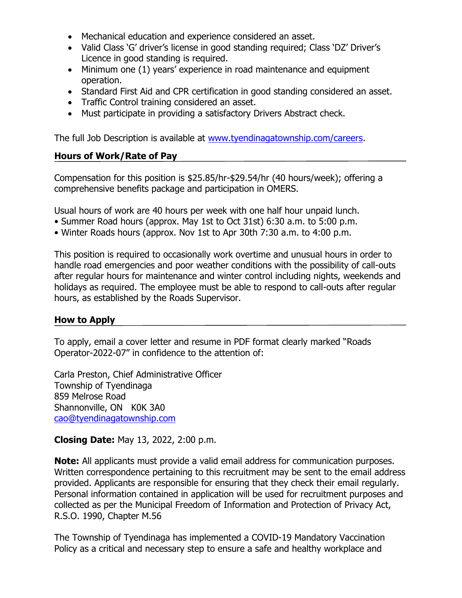- Mechanical education and experience considered an asset.
- Valid Class 'G' driver's license in good standing required; Class 'DZ' Driver's Licence in good standing is required.
- Minimum one (1) years' experience in road maintenance and equipment operation.
- Standard First Aid and CPR certification in good standing considered an asset.
- Traffic Control training considered an asset.
- Must participate in providing a satisfactory Drivers Abstract check.

The full Job Description is available at [www.tyendinagatownship.com/careers.](http://www.tyendinagatownship.com/careers)

#### **Hours of Work/Rate of Pay**

Compensation for this position is \$25.85/hr-\$29.54/hr (40 hours/week); offering a comprehensive benefits package and participation in OMERS.

Usual hours of work are 40 hours per week with one half hour unpaid lunch.

- Summer Road hours (approx. May 1st to Oct 31st) 6:30 a.m. to 5:00 p.m.
- Winter Roads hours (approx. Nov 1st to Apr 30th 7:30 a.m. to 4:00 p.m.

This position is required to occasionally work overtime and unusual hours in order to handle road emergencies and poor weather conditions with the possibility of call-outs after regular hours for maintenance and winter control including nights, weekends and holidays as required. The employee must be able to respond to call-outs after regular hours, as established by the Roads Supervisor.

#### **How to Apply**

To apply, email a cover letter and resume in PDF format clearly marked "Roads Operator-2022-07" in confidence to the attention of:

Carla Preston, Chief Administrative Officer Township of Tyendinaga 859 Melrose Road Shannonville, ON K0K 3A0 [cao@tyendinagatownship.com](mailto:cao@tyendinagatownship.com)

**Closing Date:** May 13, 2022, 2:00 p.m.

**Note:** All applicants must provide a valid email address for communication purposes. Written correspondence pertaining to this recruitment may be sent to the email address provided. Applicants are responsible for ensuring that they check their email regularly. Personal information contained in application will be used for recruitment purposes and collected as per the Municipal Freedom of Information and Protection of Privacy Act, R.S.O. 1990, Chapter M.56

The Township of Tyendinaga has implemented a COVID-19 Mandatory Vaccination Policy as a critical and necessary step to ensure a safe and healthy workplace and